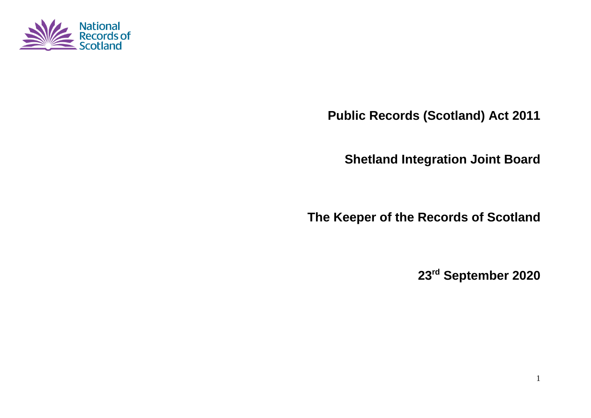

**Public Records (Scotland) Act 2011**

**Shetland Integration Joint Board**

**The Keeper of the Records of Scotland**

**23 rd September 2020**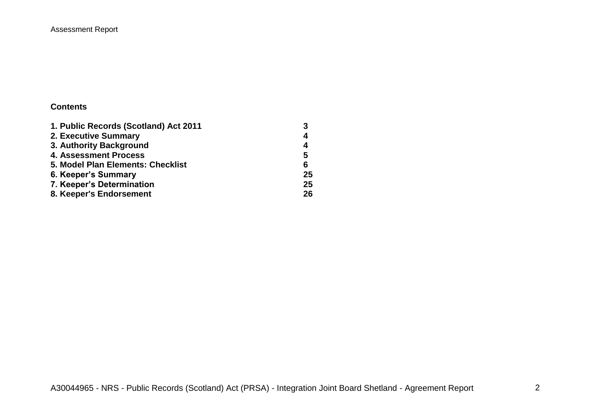### Assessment Report

#### **Contents**

| 1. Public Records (Scotland) Act 2011 |    |
|---------------------------------------|----|
| 2. Executive Summary                  | 4  |
| 3. Authority Background               | 4  |
| <b>4. Assessment Process</b>          | 5  |
| 5. Model Plan Elements: Checklist     | 6  |
| 6. Keeper's Summary                   | 25 |
| 7. Keeper's Determination             | 25 |
| 8. Keeper's Endorsement               | 26 |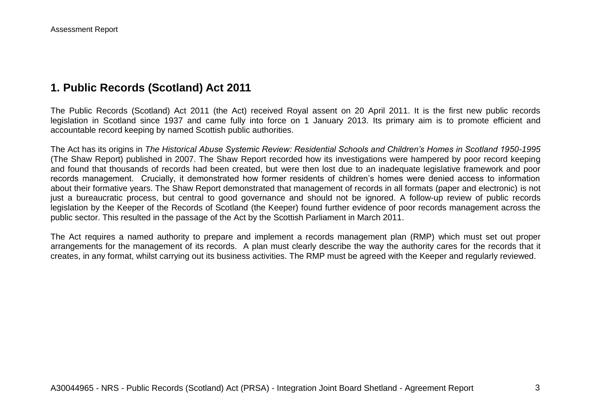# **1. Public Records (Scotland) Act 2011**

The Public Records (Scotland) Act 2011 (the Act) received Royal assent on 20 April 2011. It is the first new public records legislation in Scotland since 1937 and came fully into force on 1 January 2013. Its primary aim is to promote efficient and accountable record keeping by named Scottish public authorities.

The Act has its origins in *The Historical Abuse Systemic Review: Residential Schools and Children's Homes in Scotland 1950-1995* (The Shaw Report) published in 2007. The Shaw Report recorded how its investigations were hampered by poor record keeping and found that thousands of records had been created, but were then lost due to an inadequate legislative framework and poor records management. Crucially, it demonstrated how former residents of children's homes were denied access to information about their formative years. The Shaw Report demonstrated that management of records in all formats (paper and electronic) is not just a bureaucratic process, but central to good governance and should not be ignored. A follow-up review of public records legislation by the Keeper of the Records of Scotland (the Keeper) found further evidence of poor records management across the public sector. This resulted in the passage of the Act by the Scottish Parliament in March 2011.

The Act requires a named authority to prepare and implement a records management plan (RMP) which must set out proper arrangements for the management of its records. A plan must clearly describe the way the authority cares for the records that it creates, in any format, whilst carrying out its business activities. The RMP must be agreed with the Keeper and regularly reviewed.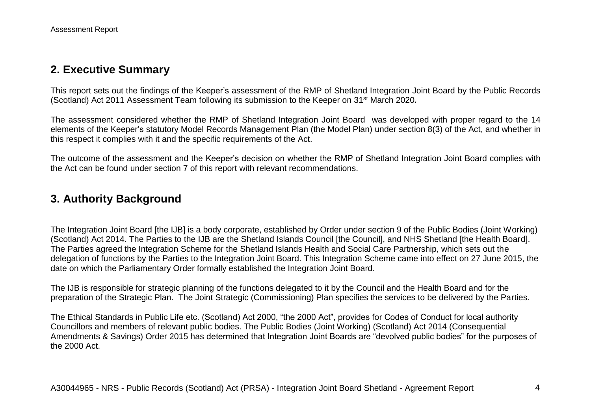# **2. Executive Summary**

This report sets out the findings of the Keeper's assessment of the RMP of Shetland Integration Joint Board by the Public Records (Scotland) Act 2011 Assessment Team following its submission to the Keeper on 31st March 2020*.*

The assessment considered whether the RMP of Shetland Integration Joint Board was developed with proper regard to the 14 elements of the Keeper's statutory Model Records Management Plan (the Model Plan) under section 8(3) of the Act, and whether in this respect it complies with it and the specific requirements of the Act.

The outcome of the assessment and the Keeper's decision on whether the RMP of Shetland Integration Joint Board complies with the Act can be found under section 7 of this report with relevant recommendations.

# **3. Authority Background**

The Integration Joint Board [the IJB] is a body corporate, established by Order under section 9 of the Public Bodies (Joint Working) (Scotland) Act 2014. The Parties to the IJB are the Shetland Islands Council [the Council], and NHS Shetland [the Health Board]. The Parties agreed the Integration Scheme for the Shetland Islands Health and Social Care Partnership, which sets out the delegation of functions by the Parties to the Integration Joint Board. This Integration Scheme came into effect on 27 June 2015, the date on which the Parliamentary Order formally established the Integration Joint Board.

The IJB is responsible for strategic planning of the functions delegated to it by the Council and the Health Board and for the preparation of the Strategic Plan. The Joint Strategic (Commissioning) Plan specifies the services to be delivered by the Parties.

The Ethical Standards in Public Life etc. (Scotland) Act 2000, "the 2000 Act", provides for Codes of Conduct for local authority Councillors and members of relevant public bodies. The Public Bodies (Joint Working) (Scotland) Act 2014 (Consequential Amendments & Savings) Order 2015 has determined that Integration Joint Boards are "devolved public bodies" for the purposes of the 2000 Act.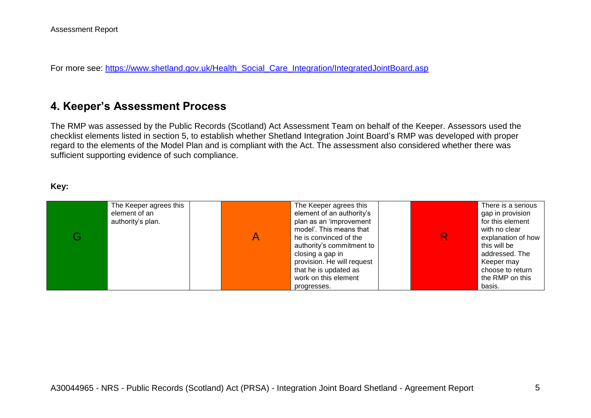For more see: [https://www.shetland.gov.uk/Health\\_Social\\_Care\\_Integration/IntegratedJointBoard.asp](https://www.shetland.gov.uk/Health_Social_Care_Integration/IntegratedJointBoard.asp)

# **4. Keeper's Assessment Process**

The RMP was assessed by the Public Records (Scotland) Act Assessment Team on behalf of the Keeper. Assessors used the checklist elements listed in section 5, to establish whether Shetland Integration Joint Board's RMP was developed with proper regard to the elements of the Model Plan and is compliant with the Act. The assessment also considered whether there was sufficient supporting evidence of such compliance.

#### **Key:**

|   | The Keeper agrees this             | The Keeper agrees this                                                                                                                                                                   | There is a serious                                                                                                          |
|---|------------------------------------|------------------------------------------------------------------------------------------------------------------------------------------------------------------------------------------|-----------------------------------------------------------------------------------------------------------------------------|
| G | element of an<br>authority's plan. | element of an authority's<br>plan as an 'improvement<br>model'. This means that<br>he is convinced of the<br>authority's commitment to<br>closing a gap in<br>provision. He will request | gap in provision<br>for this element<br>with no clear<br>explanation of how<br>this will be<br>addressed. The<br>Keeper may |
|   |                                    | that he is updated as<br>work on this element<br>progresses.                                                                                                                             | choose to return<br>the RMP on this<br>basis.                                                                               |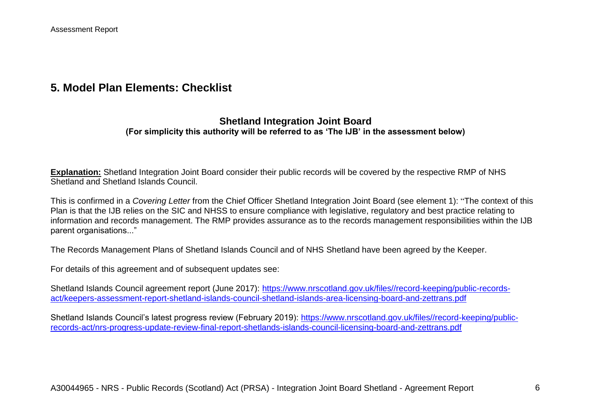# **5. Model Plan Elements: Checklist**

### **Shetland Integration Joint Board (For simplicity this authority will be referred to as 'The IJB' in the assessment below)**

**Explanation:** Shetland Integration Joint Board consider their public records will be covered by the respective RMP of NHS Shetland and Shetland Islands Council.

This is confirmed in a *Covering Letter* from the Chief Officer Shetland Integration Joint Board (see element 1): "The context of this Plan is that the IJB relies on the SIC and NHSS to ensure compliance with legislative, regulatory and best practice relating to information and records management. The RMP provides assurance as to the records management responsibilities within the IJB parent organisations..."

The Records Management Plans of Shetland Islands Council and of NHS Shetland have been agreed by the Keeper.

For details of this agreement and of subsequent updates see:

Shetland Islands Council agreement report (June 2017): [https://www.nrscotland.gov.uk/files//record-keeping/public-records](https://www.nrscotland.gov.uk/files/record-keeping/public-records-act/keepers-assessment-report-shetland-islands-council-shetland-islands-area-licensing-board-and-zettrans.pdf)[act/keepers-assessment-report-shetland-islands-council-shetland-islands-area-licensing-board-and-zettrans.pdf](https://www.nrscotland.gov.uk/files/record-keeping/public-records-act/keepers-assessment-report-shetland-islands-council-shetland-islands-area-licensing-board-and-zettrans.pdf)

Shetland Islands Council's latest progress review (February 2019): [https://www.nrscotland.gov.uk/files//record-keeping/public](https://www.nrscotland.gov.uk/files/record-keeping/public-records-act/nrs-progress-update-review-final-report-shetlands-islands-council-licensing-board-and-zettrans.pdf)[records-act/nrs-progress-update-review-final-report-shetlands-islands-council-licensing-board-and-zettrans.pdf](https://www.nrscotland.gov.uk/files/record-keeping/public-records-act/nrs-progress-update-review-final-report-shetlands-islands-council-licensing-board-and-zettrans.pdf)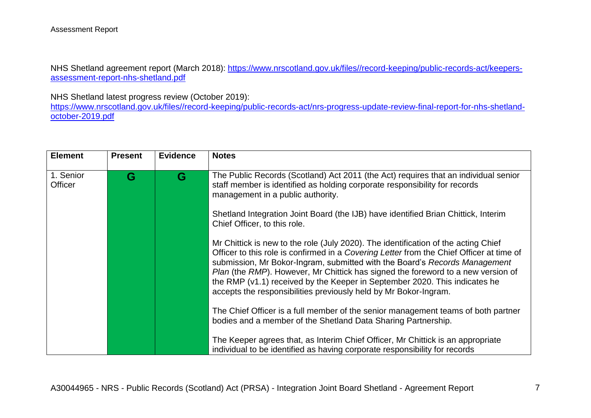NHS Shetland agreement report (March 2018): [https://www.nrscotland.gov.uk/files//record-keeping/public-records-act/keepers](https://www.nrscotland.gov.uk/files/record-keeping/public-records-act/keepers-assessment-report-nhs-shetland.pdf)[assessment-report-nhs-shetland.pdf](https://www.nrscotland.gov.uk/files/record-keeping/public-records-act/keepers-assessment-report-nhs-shetland.pdf)

NHS Shetland latest progress review (October 2019):

[https://www.nrscotland.gov.uk/files//record-keeping/public-records-act/nrs-progress-update-review-final-report-for-nhs-shetland](https://www.nrscotland.gov.uk/files/record-keeping/public-records-act/nrs-progress-update-review-final-report-for-nhs-shetland-october-2019.pdf)[october-2019.pdf](https://www.nrscotland.gov.uk/files/record-keeping/public-records-act/nrs-progress-update-review-final-report-for-nhs-shetland-october-2019.pdf)

| <b>Element</b>              | <b>Present</b> | <b>Evidence</b> | <b>Notes</b>                                                                                                                                                                                                                                                                                                                                                                                                                                                                                       |
|-----------------------------|----------------|-----------------|----------------------------------------------------------------------------------------------------------------------------------------------------------------------------------------------------------------------------------------------------------------------------------------------------------------------------------------------------------------------------------------------------------------------------------------------------------------------------------------------------|
| 1. Senior<br><b>Officer</b> | G              | G               | The Public Records (Scotland) Act 2011 (the Act) requires that an individual senior<br>staff member is identified as holding corporate responsibility for records<br>management in a public authority.                                                                                                                                                                                                                                                                                             |
|                             |                |                 | Shetland Integration Joint Board (the IJB) have identified Brian Chittick, Interim<br>Chief Officer, to this role.                                                                                                                                                                                                                                                                                                                                                                                 |
|                             |                |                 | Mr Chittick is new to the role (July 2020). The identification of the acting Chief<br>Officer to this role is confirmed in a Covering Letter from the Chief Officer at time of<br>submission, Mr Bokor-Ingram, submitted with the Board's Records Management<br>Plan (the RMP). However, Mr Chittick has signed the foreword to a new version of<br>the RMP (v1.1) received by the Keeper in September 2020. This indicates he<br>accepts the responsibilities previously held by Mr Bokor-Ingram. |
|                             |                |                 | The Chief Officer is a full member of the senior management teams of both partner<br>bodies and a member of the Shetland Data Sharing Partnership.                                                                                                                                                                                                                                                                                                                                                 |
|                             |                |                 | The Keeper agrees that, as Interim Chief Officer, Mr Chittick is an appropriate<br>individual to be identified as having corporate responsibility for records                                                                                                                                                                                                                                                                                                                                      |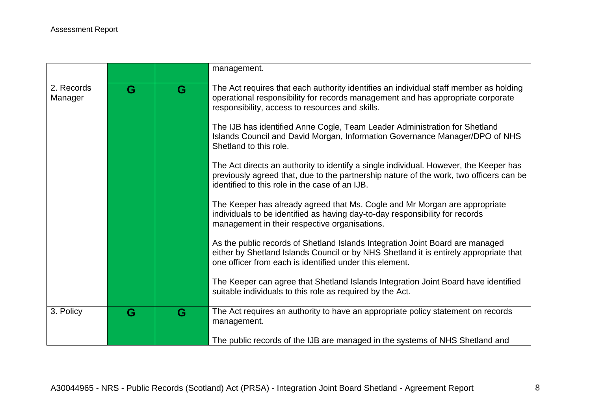|                       |   |   | management.                                                                                                                                                                                                                       |
|-----------------------|---|---|-----------------------------------------------------------------------------------------------------------------------------------------------------------------------------------------------------------------------------------|
| 2. Records<br>Manager | G | G | The Act requires that each authority identifies an individual staff member as holding<br>operational responsibility for records management and has appropriate corporate<br>responsibility, access to resources and skills.       |
|                       |   |   | The IJB has identified Anne Cogle, Team Leader Administration for Shetland<br>Islands Council and David Morgan, Information Governance Manager/DPO of NHS<br>Shetland to this role.                                               |
|                       |   |   | The Act directs an authority to identify a single individual. However, the Keeper has<br>previously agreed that, due to the partnership nature of the work, two officers can be<br>identified to this role in the case of an IJB. |
|                       |   |   | The Keeper has already agreed that Ms. Cogle and Mr Morgan are appropriate<br>individuals to be identified as having day-to-day responsibility for records<br>management in their respective organisations.                       |
|                       |   |   | As the public records of Shetland Islands Integration Joint Board are managed<br>either by Shetland Islands Council or by NHS Shetland it is entirely appropriate that<br>one officer from each is identified under this element. |
|                       |   |   | The Keeper can agree that Shetland Islands Integration Joint Board have identified<br>suitable individuals to this role as required by the Act.                                                                                   |
| 3. Policy             | G | G | The Act requires an authority to have an appropriate policy statement on records<br>management.                                                                                                                                   |
|                       |   |   | The public records of the IJB are managed in the systems of NHS Shetland and                                                                                                                                                      |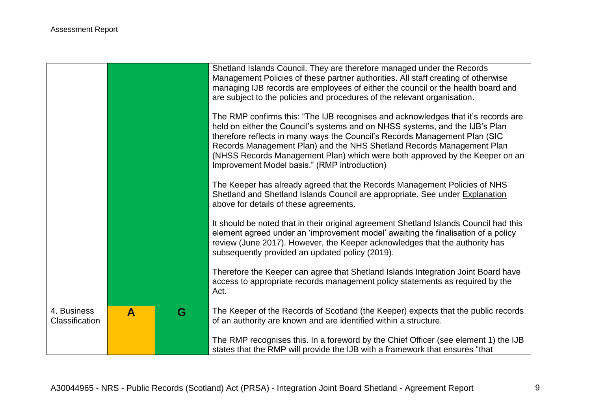|                               |   |   | Shetland Islands Council. They are therefore managed under the Records<br>Management Policies of these partner authorities. All staff creating of otherwise<br>managing IJB records are employees of either the council or the health board and<br>are subject to the policies and procedures of the relevant organisation.                                                                                                                             |
|-------------------------------|---|---|---------------------------------------------------------------------------------------------------------------------------------------------------------------------------------------------------------------------------------------------------------------------------------------------------------------------------------------------------------------------------------------------------------------------------------------------------------|
|                               |   |   | The RMP confirms this: "The IJB recognises and acknowledges that it's records are<br>held on either the Council's systems and on NHSS systems, and the IJB's Plan<br>therefore reflects in many ways the Council's Records Management Plan (SIC<br>Records Management Plan) and the NHS Shetland Records Management Plan<br>(NHSS Records Management Plan) which were both approved by the Keeper on an<br>Improvement Model basis." (RMP introduction) |
|                               |   |   | The Keeper has already agreed that the Records Management Policies of NHS<br>Shetland and Shetland Islands Council are appropriate. See under Explanation<br>above for details of these agreements.                                                                                                                                                                                                                                                     |
|                               |   |   | It should be noted that in their original agreement Shetland Islands Council had this<br>element agreed under an 'improvement model' awaiting the finalisation of a policy<br>review (June 2017). However, the Keeper acknowledges that the authority has<br>subsequently provided an updated policy (2019).                                                                                                                                            |
|                               |   |   | Therefore the Keeper can agree that Shetland Islands Integration Joint Board have<br>access to appropriate records management policy statements as required by the<br>Act.                                                                                                                                                                                                                                                                              |
| 4. Business<br>Classification | A | G | The Keeper of the Records of Scotland (the Keeper) expects that the public records<br>of an authority are known and are identified within a structure.                                                                                                                                                                                                                                                                                                  |
|                               |   |   | The RMP recognises this. In a foreword by the Chief Officer (see element 1) the IJB<br>states that the RMP will provide the IJB with a framework that ensures "that                                                                                                                                                                                                                                                                                     |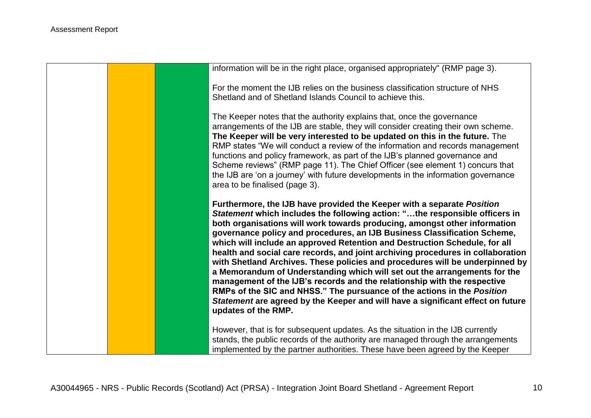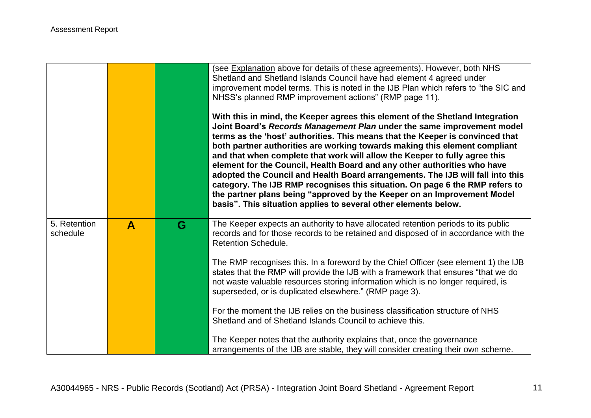|                          |              |   | (see Explanation above for details of these agreements). However, both NHS<br>Shetland and Shetland Islands Council have had element 4 agreed under<br>improvement model terms. This is noted in the IJB Plan which refers to "the SIC and<br>NHSS's planned RMP improvement actions" (RMP page 11).<br>With this in mind, the Keeper agrees this element of the Shetland Integration<br>Joint Board's Records Management Plan under the same improvement model<br>terms as the 'host' authorities. This means that the Keeper is convinced that<br>both partner authorities are working towards making this element compliant<br>and that when complete that work will allow the Keeper to fully agree this<br>element for the Council, Health Board and any other authorities who have<br>adopted the Council and Health Board arrangements. The IJB will fall into this<br>category. The IJB RMP recognises this situation. On page 6 the RMP refers to<br>the partner plans being "approved by the Keeper on an Improvement Model<br>basis". This situation applies to several other elements below. |
|--------------------------|--------------|---|----------------------------------------------------------------------------------------------------------------------------------------------------------------------------------------------------------------------------------------------------------------------------------------------------------------------------------------------------------------------------------------------------------------------------------------------------------------------------------------------------------------------------------------------------------------------------------------------------------------------------------------------------------------------------------------------------------------------------------------------------------------------------------------------------------------------------------------------------------------------------------------------------------------------------------------------------------------------------------------------------------------------------------------------------------------------------------------------------------|
| 5. Retention<br>schedule | $\mathbf{A}$ | G | The Keeper expects an authority to have allocated retention periods to its public<br>records and for those records to be retained and disposed of in accordance with the<br><b>Retention Schedule.</b>                                                                                                                                                                                                                                                                                                                                                                                                                                                                                                                                                                                                                                                                                                                                                                                                                                                                                                   |
|                          |              |   | The RMP recognises this. In a foreword by the Chief Officer (see element 1) the IJB<br>states that the RMP will provide the IJB with a framework that ensures "that we do<br>not waste valuable resources storing information which is no longer required, is<br>superseded, or is duplicated elsewhere." (RMP page 3).                                                                                                                                                                                                                                                                                                                                                                                                                                                                                                                                                                                                                                                                                                                                                                                  |
|                          |              |   | For the moment the IJB relies on the business classification structure of NHS<br>Shetland and of Shetland Islands Council to achieve this.                                                                                                                                                                                                                                                                                                                                                                                                                                                                                                                                                                                                                                                                                                                                                                                                                                                                                                                                                               |
|                          |              |   | The Keeper notes that the authority explains that, once the governance<br>arrangements of the IJB are stable, they will consider creating their own scheme.                                                                                                                                                                                                                                                                                                                                                                                                                                                                                                                                                                                                                                                                                                                                                                                                                                                                                                                                              |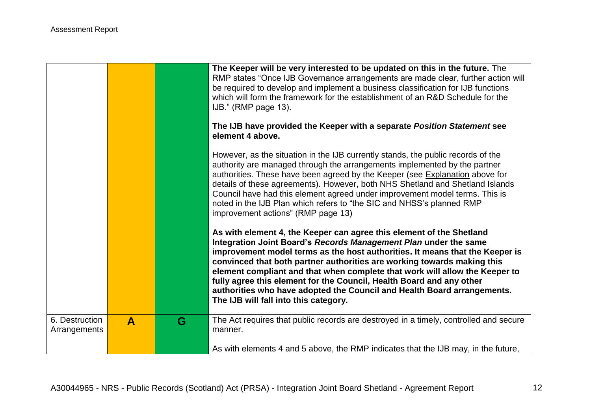|                                |   |   | The Keeper will be very interested to be updated on this in the future. The<br>RMP states "Once IJB Governance arrangements are made clear, further action will<br>be required to develop and implement a business classification for IJB functions<br>which will form the framework for the establishment of an R&D Schedule for the<br>IJB." (RMP page 13).<br>The IJB have provided the Keeper with a separate Position Statement see                                                                                                                                       |
|--------------------------------|---|---|--------------------------------------------------------------------------------------------------------------------------------------------------------------------------------------------------------------------------------------------------------------------------------------------------------------------------------------------------------------------------------------------------------------------------------------------------------------------------------------------------------------------------------------------------------------------------------|
|                                |   |   | element 4 above.                                                                                                                                                                                                                                                                                                                                                                                                                                                                                                                                                               |
|                                |   |   | However, as the situation in the IJB currently stands, the public records of the<br>authority are managed through the arrangements implemented by the partner<br>authorities. These have been agreed by the Keeper (see Explanation above for<br>details of these agreements). However, both NHS Shetland and Shetland Islands<br>Council have had this element agreed under improvement model terms. This is<br>noted in the IJB Plan which refers to "the SIC and NHSS's planned RMP<br>improvement actions" (RMP page 13)                                                   |
|                                |   |   | As with element 4, the Keeper can agree this element of the Shetland<br>Integration Joint Board's Records Management Plan under the same<br>improvement model terms as the host authorities. It means that the Keeper is<br>convinced that both partner authorities are working towards making this<br>element compliant and that when complete that work will allow the Keeper to<br>fully agree this element for the Council, Health Board and any other<br>authorities who have adopted the Council and Health Board arrangements.<br>The IJB will fall into this category. |
| 6. Destruction<br>Arrangements | A | G | The Act requires that public records are destroyed in a timely, controlled and secure<br>manner.                                                                                                                                                                                                                                                                                                                                                                                                                                                                               |
|                                |   |   | As with elements 4 and 5 above, the RMP indicates that the IJB may, in the future,                                                                                                                                                                                                                                                                                                                                                                                                                                                                                             |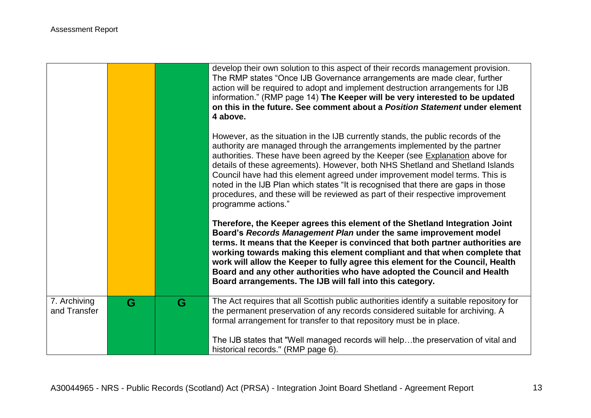|                              |   |   | develop their own solution to this aspect of their records management provision.<br>The RMP states "Once IJB Governance arrangements are made clear, further<br>action will be required to adopt and implement destruction arrangements for IJB<br>information." (RMP page 14) The Keeper will be very interested to be updated<br>on this in the future. See comment about a Position Statement under element<br>4 above.                                                                                                                                                                                  |
|------------------------------|---|---|-------------------------------------------------------------------------------------------------------------------------------------------------------------------------------------------------------------------------------------------------------------------------------------------------------------------------------------------------------------------------------------------------------------------------------------------------------------------------------------------------------------------------------------------------------------------------------------------------------------|
|                              |   |   | However, as the situation in the IJB currently stands, the public records of the<br>authority are managed through the arrangements implemented by the partner<br>authorities. These have been agreed by the Keeper (see Explanation above for<br>details of these agreements). However, both NHS Shetland and Shetland Islands<br>Council have had this element agreed under improvement model terms. This is<br>noted in the IJB Plan which states "It is recognised that there are gaps in those<br>procedures, and these will be reviewed as part of their respective improvement<br>programme actions." |
|                              |   |   | Therefore, the Keeper agrees this element of the Shetland Integration Joint<br>Board's Records Management Plan under the same improvement model<br>terms. It means that the Keeper is convinced that both partner authorities are<br>working towards making this element compliant and that when complete that<br>work will allow the Keeper to fully agree this element for the Council, Health<br>Board and any other authorities who have adopted the Council and Health<br>Board arrangements. The IJB will fall into this category.                                                                    |
| 7. Archiving<br>and Transfer | G | G | The Act requires that all Scottish public authorities identify a suitable repository for<br>the permanent preservation of any records considered suitable for archiving. A<br>formal arrangement for transfer to that repository must be in place.                                                                                                                                                                                                                                                                                                                                                          |
|                              |   |   | The IJB states that "Well managed records will helpthe preservation of vital and<br>historical records." (RMP page 6).                                                                                                                                                                                                                                                                                                                                                                                                                                                                                      |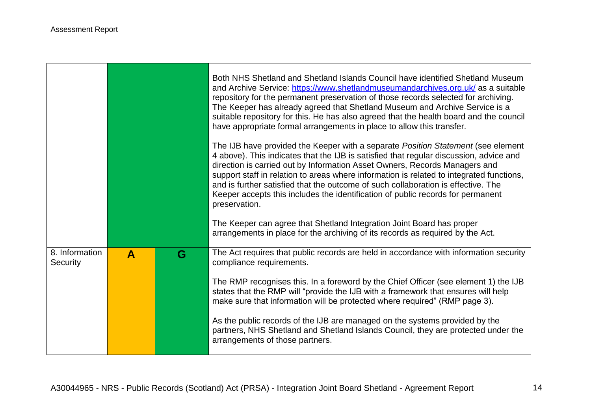**T** 

|                            |              |   | Both NHS Shetland and Shetland Islands Council have identified Shetland Museum<br>and Archive Service: https://www.shetlandmuseumandarchives.org.uk/ as a suitable<br>repository for the permanent preservation of those records selected for archiving.<br>The Keeper has already agreed that Shetland Museum and Archive Service is a<br>suitable repository for this. He has also agreed that the health board and the council<br>have appropriate formal arrangements in place to allow this transfer.<br>The IJB have provided the Keeper with a separate Position Statement (see element<br>4 above). This indicates that the IJB is satisfied that regular discussion, advice and<br>direction is carried out by Information Asset Owners, Records Managers and<br>support staff in relation to areas where information is related to integrated functions,<br>and is further satisfied that the outcome of such collaboration is effective. The<br>Keeper accepts this includes the identification of public records for permanent<br>preservation.<br>The Keeper can agree that Shetland Integration Joint Board has proper |
|----------------------------|--------------|---|--------------------------------------------------------------------------------------------------------------------------------------------------------------------------------------------------------------------------------------------------------------------------------------------------------------------------------------------------------------------------------------------------------------------------------------------------------------------------------------------------------------------------------------------------------------------------------------------------------------------------------------------------------------------------------------------------------------------------------------------------------------------------------------------------------------------------------------------------------------------------------------------------------------------------------------------------------------------------------------------------------------------------------------------------------------------------------------------------------------------------------------|
|                            |              |   | arrangements in place for the archiving of its records as required by the Act.                                                                                                                                                                                                                                                                                                                                                                                                                                                                                                                                                                                                                                                                                                                                                                                                                                                                                                                                                                                                                                                       |
| 8. Information<br>Security | $\mathbf{A}$ | G | The Act requires that public records are held in accordance with information security<br>compliance requirements.                                                                                                                                                                                                                                                                                                                                                                                                                                                                                                                                                                                                                                                                                                                                                                                                                                                                                                                                                                                                                    |
|                            |              |   | The RMP recognises this. In a foreword by the Chief Officer (see element 1) the IJB<br>states that the RMP will "provide the IJB with a framework that ensures will help<br>make sure that information will be protected where required" (RMP page 3).                                                                                                                                                                                                                                                                                                                                                                                                                                                                                                                                                                                                                                                                                                                                                                                                                                                                               |
|                            |              |   | As the public records of the IJB are managed on the systems provided by the<br>partners, NHS Shetland and Shetland Islands Council, they are protected under the<br>arrangements of those partners.                                                                                                                                                                                                                                                                                                                                                                                                                                                                                                                                                                                                                                                                                                                                                                                                                                                                                                                                  |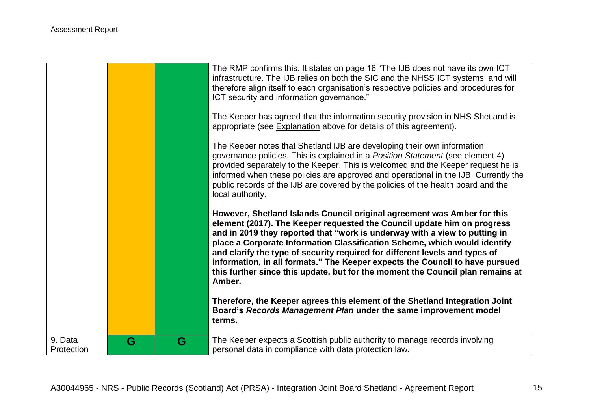|            |   |   | The RMP confirms this. It states on page 16 "The IJB does not have its own ICT<br>infrastructure. The IJB relies on both the SIC and the NHSS ICT systems, and will<br>therefore align itself to each organisation's respective policies and procedures for<br>ICT security and information governance."<br>The Keeper has agreed that the information security provision in NHS Shetland is<br>appropriate (see Explanation above for details of this agreement).<br>The Keeper notes that Shetland IJB are developing their own information<br>governance policies. This is explained in a Position Statement (see element 4)<br>provided separately to the Keeper. This is welcomed and the Keeper request he is<br>informed when these policies are approved and operational in the IJB. Currently the<br>public records of the IJB are covered by the policies of the health board and the<br>local authority.<br>However, Shetland Islands Council original agreement was Amber for this<br>element (2017). The Keeper requested the Council update him on progress<br>and in 2019 they reported that "work is underway with a view to putting in<br>place a Corporate Information Classification Scheme, which would identify<br>and clarify the type of security required for different levels and types of<br>information, in all formats." The Keeper expects the Council to have pursued<br>this further since this update, but for the moment the Council plan remains at<br>Amber.<br>Therefore, the Keeper agrees this element of the Shetland Integration Joint<br>Board's Records Management Plan under the same improvement model<br>terms. |
|------------|---|---|--------------------------------------------------------------------------------------------------------------------------------------------------------------------------------------------------------------------------------------------------------------------------------------------------------------------------------------------------------------------------------------------------------------------------------------------------------------------------------------------------------------------------------------------------------------------------------------------------------------------------------------------------------------------------------------------------------------------------------------------------------------------------------------------------------------------------------------------------------------------------------------------------------------------------------------------------------------------------------------------------------------------------------------------------------------------------------------------------------------------------------------------------------------------------------------------------------------------------------------------------------------------------------------------------------------------------------------------------------------------------------------------------------------------------------------------------------------------------------------------------------------------------------------------------------------------------------------------------------------------------------------------------------------|
| 9. Data    | G | G | The Keeper expects a Scottish public authority to manage records involving                                                                                                                                                                                                                                                                                                                                                                                                                                                                                                                                                                                                                                                                                                                                                                                                                                                                                                                                                                                                                                                                                                                                                                                                                                                                                                                                                                                                                                                                                                                                                                                   |
| Protection |   |   | personal data in compliance with data protection law.                                                                                                                                                                                                                                                                                                                                                                                                                                                                                                                                                                                                                                                                                                                                                                                                                                                                                                                                                                                                                                                                                                                                                                                                                                                                                                                                                                                                                                                                                                                                                                                                        |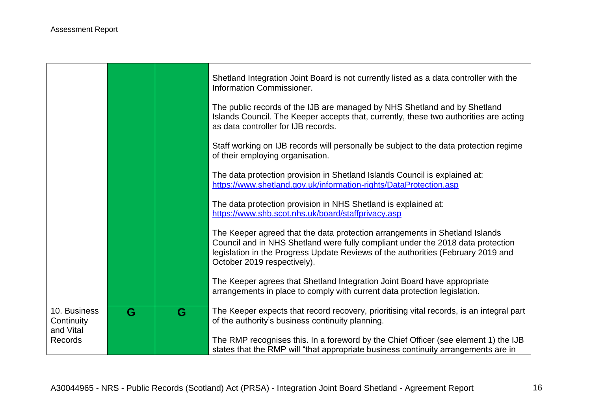|                                         |   |   | Shetland Integration Joint Board is not currently listed as a data controller with the<br>Information Commissioner.                                                                                                                                                               |
|-----------------------------------------|---|---|-----------------------------------------------------------------------------------------------------------------------------------------------------------------------------------------------------------------------------------------------------------------------------------|
|                                         |   |   | The public records of the IJB are managed by NHS Shetland and by Shetland<br>Islands Council. The Keeper accepts that, currently, these two authorities are acting<br>as data controller for IJB records.                                                                         |
|                                         |   |   | Staff working on IJB records will personally be subject to the data protection regime<br>of their employing organisation.                                                                                                                                                         |
|                                         |   |   | The data protection provision in Shetland Islands Council is explained at:<br>https://www.shetland.gov.uk/information-rights/DataProtection.asp                                                                                                                                   |
|                                         |   |   | The data protection provision in NHS Shetland is explained at:<br>https://www.shb.scot.nhs.uk/board/staffprivacy.asp                                                                                                                                                              |
|                                         |   |   | The Keeper agreed that the data protection arrangements in Shetland Islands<br>Council and in NHS Shetland were fully compliant under the 2018 data protection<br>legislation in the Progress Update Reviews of the authorities (February 2019 and<br>October 2019 respectively). |
|                                         |   |   | The Keeper agrees that Shetland Integration Joint Board have appropriate<br>arrangements in place to comply with current data protection legislation.                                                                                                                             |
| 10. Business<br>Continuity<br>and Vital | G | G | The Keeper expects that record recovery, prioritising vital records, is an integral part<br>of the authority's business continuity planning.                                                                                                                                      |
| <b>Records</b>                          |   |   | The RMP recognises this. In a foreword by the Chief Officer (see element 1) the IJB<br>states that the RMP will "that appropriate business continuity arrangements are in                                                                                                         |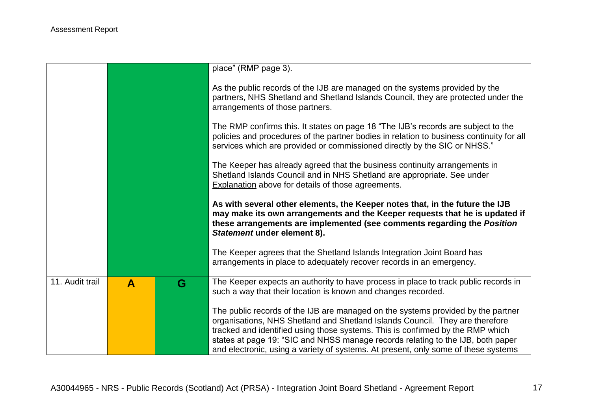|                 |              |   | place" (RMP page 3).                                                                                                                                                                                                                                                                                                                                                                                                        |
|-----------------|--------------|---|-----------------------------------------------------------------------------------------------------------------------------------------------------------------------------------------------------------------------------------------------------------------------------------------------------------------------------------------------------------------------------------------------------------------------------|
|                 |              |   | As the public records of the IJB are managed on the systems provided by the<br>partners, NHS Shetland and Shetland Islands Council, they are protected under the<br>arrangements of those partners.                                                                                                                                                                                                                         |
|                 |              |   | The RMP confirms this. It states on page 18 "The IJB's records are subject to the<br>policies and procedures of the partner bodies in relation to business continuity for all<br>services which are provided or commissioned directly by the SIC or NHSS."                                                                                                                                                                  |
|                 |              |   | The Keeper has already agreed that the business continuity arrangements in<br>Shetland Islands Council and in NHS Shetland are appropriate. See under<br><b>Explanation above for details of those agreements.</b>                                                                                                                                                                                                          |
|                 |              |   | As with several other elements, the Keeper notes that, in the future the IJB<br>may make its own arrangements and the Keeper requests that he is updated if<br>these arrangements are implemented (see comments regarding the Position<br>Statement under element 8).                                                                                                                                                       |
|                 |              |   | The Keeper agrees that the Shetland Islands Integration Joint Board has<br>arrangements in place to adequately recover records in an emergency.                                                                                                                                                                                                                                                                             |
| 11. Audit trail | $\mathbf{A}$ | G | The Keeper expects an authority to have process in place to track public records in<br>such a way that their location is known and changes recorded.                                                                                                                                                                                                                                                                        |
|                 |              |   | The public records of the IJB are managed on the systems provided by the partner<br>organisations, NHS Shetland and Shetland Islands Council. They are therefore<br>tracked and identified using those systems. This is confirmed by the RMP which<br>states at page 19: "SIC and NHSS manage records relating to the IJB, both paper<br>and electronic, using a variety of systems. At present, only some of these systems |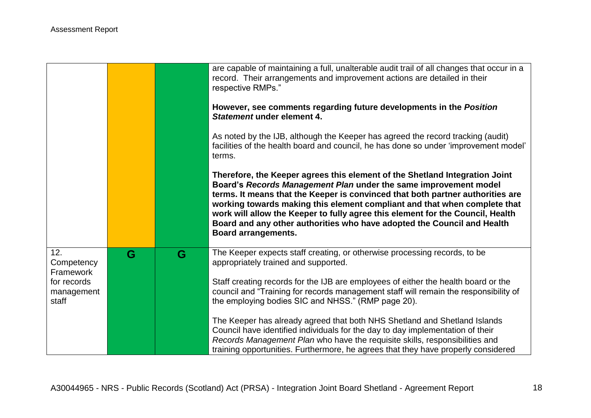|                                    |   |   | are capable of maintaining a full, unalterable audit trail of all changes that occur in a<br>record. Their arrangements and improvement actions are detailed in their<br>respective RMPs."                                                                                                                                                                                                                                                                                                                |
|------------------------------------|---|---|-----------------------------------------------------------------------------------------------------------------------------------------------------------------------------------------------------------------------------------------------------------------------------------------------------------------------------------------------------------------------------------------------------------------------------------------------------------------------------------------------------------|
|                                    |   |   | However, see comments regarding future developments in the Position<br>Statement under element 4.                                                                                                                                                                                                                                                                                                                                                                                                         |
|                                    |   |   | As noted by the IJB, although the Keeper has agreed the record tracking (audit)<br>facilities of the health board and council, he has done so under 'improvement model'<br>terms.                                                                                                                                                                                                                                                                                                                         |
|                                    |   |   | Therefore, the Keeper agrees this element of the Shetland Integration Joint<br>Board's Records Management Plan under the same improvement model<br>terms. It means that the Keeper is convinced that both partner authorities are<br>working towards making this element compliant and that when complete that<br>work will allow the Keeper to fully agree this element for the Council, Health<br>Board and any other authorities who have adopted the Council and Health<br><b>Board arrangements.</b> |
| 12.<br>Competency<br>Framework     | G | G | The Keeper expects staff creating, or otherwise processing records, to be<br>appropriately trained and supported.                                                                                                                                                                                                                                                                                                                                                                                         |
| for records<br>management<br>staff |   |   | Staff creating records for the IJB are employees of either the health board or the<br>council and "Training for records management staff will remain the responsibility of<br>the employing bodies SIC and NHSS." (RMP page 20).                                                                                                                                                                                                                                                                          |
|                                    |   |   | The Keeper has already agreed that both NHS Shetland and Shetland Islands<br>Council have identified individuals for the day to day implementation of their<br>Records Management Plan who have the requisite skills, responsibilities and<br>training opportunities. Furthermore, he agrees that they have properly considered                                                                                                                                                                           |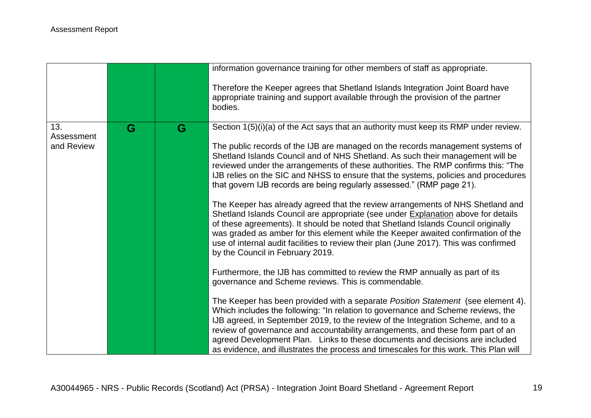|                                 |   |   | information governance training for other members of staff as appropriate.                                                                                                                                                                                                                                                                                                                                                                                                                                                                                                                                                                                                                                                                                                                                                                                                                                                                                                                                                                                                                                                                                                                                                                                                                                                                                                                                                                                                       |
|---------------------------------|---|---|----------------------------------------------------------------------------------------------------------------------------------------------------------------------------------------------------------------------------------------------------------------------------------------------------------------------------------------------------------------------------------------------------------------------------------------------------------------------------------------------------------------------------------------------------------------------------------------------------------------------------------------------------------------------------------------------------------------------------------------------------------------------------------------------------------------------------------------------------------------------------------------------------------------------------------------------------------------------------------------------------------------------------------------------------------------------------------------------------------------------------------------------------------------------------------------------------------------------------------------------------------------------------------------------------------------------------------------------------------------------------------------------------------------------------------------------------------------------------------|
|                                 |   |   | Therefore the Keeper agrees that Shetland Islands Integration Joint Board have<br>appropriate training and support available through the provision of the partner<br>bodies.                                                                                                                                                                                                                                                                                                                                                                                                                                                                                                                                                                                                                                                                                                                                                                                                                                                                                                                                                                                                                                                                                                                                                                                                                                                                                                     |
| 13.<br>Assessment<br>and Review | G | G | Section 1(5)(i)(a) of the Act says that an authority must keep its RMP under review.<br>The public records of the IJB are managed on the records management systems of<br>Shetland Islands Council and of NHS Shetland. As such their management will be<br>reviewed under the arrangements of these authorities. The RMP confirms this: "The<br>IJB relies on the SIC and NHSS to ensure that the systems, policies and procedures<br>that govern IJB records are being regularly assessed." (RMP page 21).<br>The Keeper has already agreed that the review arrangements of NHS Shetland and<br>Shetland Islands Council are appropriate (see under Explanation above for details<br>of these agreements). It should be noted that Shetland Islands Council originally<br>was graded as amber for this element while the Keeper awaited confirmation of the<br>use of internal audit facilities to review their plan (June 2017). This was confirmed<br>by the Council in February 2019.<br>Furthermore, the IJB has committed to review the RMP annually as part of its<br>governance and Scheme reviews. This is commendable.<br>The Keeper has been provided with a separate Position Statement (see element 4).<br>Which includes the following: "In relation to governance and Scheme reviews, the<br>IJB agreed, in September 2019, to the review of the Integration Scheme, and to a<br>review of governance and accountability arrangements, and these form part of an |
|                                 |   |   | agreed Development Plan. Links to these documents and decisions are included<br>as evidence, and illustrates the process and timescales for this work. This Plan will                                                                                                                                                                                                                                                                                                                                                                                                                                                                                                                                                                                                                                                                                                                                                                                                                                                                                                                                                                                                                                                                                                                                                                                                                                                                                                            |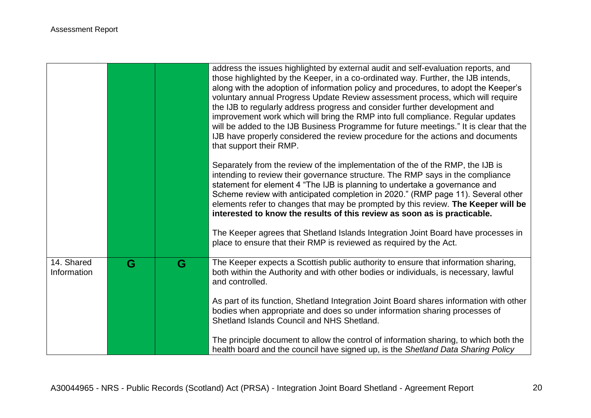|             |   |   | address the issues highlighted by external audit and self-evaluation reports, and<br>those highlighted by the Keeper, in a co-ordinated way. Further, the IJB intends,<br>along with the adoption of information policy and procedures, to adopt the Keeper's<br>voluntary annual Progress Update Review assessment process, which will require<br>the IJB to regularly address progress and consider further development and<br>improvement work which will bring the RMP into full compliance. Regular updates<br>will be added to the IJB Business Programme for future meetings." It is clear that the<br>IJB have properly considered the review procedure for the actions and documents<br>that support their RMP. |
|-------------|---|---|--------------------------------------------------------------------------------------------------------------------------------------------------------------------------------------------------------------------------------------------------------------------------------------------------------------------------------------------------------------------------------------------------------------------------------------------------------------------------------------------------------------------------------------------------------------------------------------------------------------------------------------------------------------------------------------------------------------------------|
|             |   |   | Separately from the review of the implementation of the of the RMP, the IJB is<br>intending to review their governance structure. The RMP says in the compliance<br>statement for element 4 "The IJB is planning to undertake a governance and<br>Scheme review with anticipated completion in 2020." (RMP page 11). Several other<br>elements refer to changes that may be prompted by this review. The Keeper will be<br>interested to know the results of this review as soon as is practicable.<br>The Keeper agrees that Shetland Islands Integration Joint Board have processes in<br>place to ensure that their RMP is reviewed as required by the Act.                                                           |
| 14. Shared  | G | G | The Keeper expects a Scottish public authority to ensure that information sharing,                                                                                                                                                                                                                                                                                                                                                                                                                                                                                                                                                                                                                                       |
| Information |   |   | both within the Authority and with other bodies or individuals, is necessary, lawful<br>and controlled.                                                                                                                                                                                                                                                                                                                                                                                                                                                                                                                                                                                                                  |
|             |   |   | As part of its function, Shetland Integration Joint Board shares information with other<br>bodies when appropriate and does so under information sharing processes of                                                                                                                                                                                                                                                                                                                                                                                                                                                                                                                                                    |
|             |   |   | Shetland Islands Council and NHS Shetland.                                                                                                                                                                                                                                                                                                                                                                                                                                                                                                                                                                                                                                                                               |
|             |   |   | The principle document to allow the control of information sharing, to which both the<br>health board and the council have signed up, is the Shetland Data Sharing Policy                                                                                                                                                                                                                                                                                                                                                                                                                                                                                                                                                |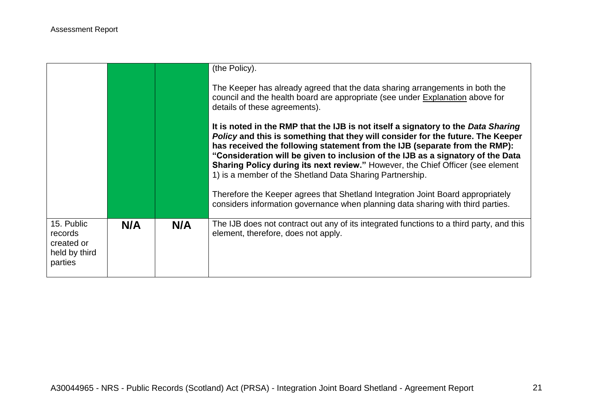|                                                                 |     |     | (the Policy).<br>The Keeper has already agreed that the data sharing arrangements in both the<br>council and the health board are appropriate (see under Explanation above for<br>details of these agreements).<br>It is noted in the RMP that the IJB is not itself a signatory to the Data Sharing<br>Policy and this is something that they will consider for the future. The Keeper<br>has received the following statement from the IJB (separate from the RMP):<br>"Consideration will be given to inclusion of the IJB as a signatory of the Data<br>Sharing Policy during its next review." However, the Chief Officer (see element<br>1) is a member of the Shetland Data Sharing Partnership.<br>Therefore the Keeper agrees that Shetland Integration Joint Board appropriately<br>considers information governance when planning data sharing with third parties. |
|-----------------------------------------------------------------|-----|-----|-------------------------------------------------------------------------------------------------------------------------------------------------------------------------------------------------------------------------------------------------------------------------------------------------------------------------------------------------------------------------------------------------------------------------------------------------------------------------------------------------------------------------------------------------------------------------------------------------------------------------------------------------------------------------------------------------------------------------------------------------------------------------------------------------------------------------------------------------------------------------------|
| 15. Public<br>records<br>created or<br>held by third<br>parties | N/A | N/A | The IJB does not contract out any of its integrated functions to a third party, and this<br>element, therefore, does not apply.                                                                                                                                                                                                                                                                                                                                                                                                                                                                                                                                                                                                                                                                                                                                               |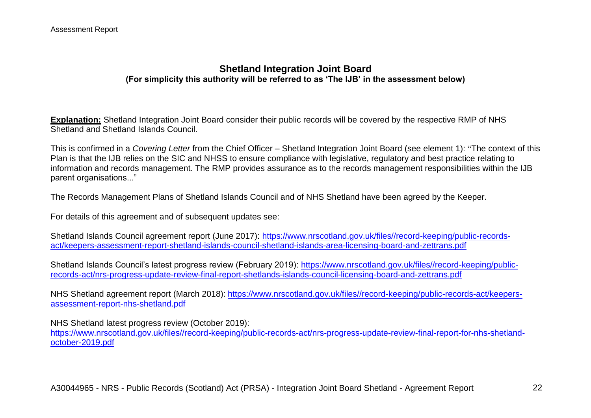### **Shetland Integration Joint Board (For simplicity this authority will be referred to as 'The IJB' in the assessment below)**

**Explanation:** Shetland Integration Joint Board consider their public records will be covered by the respective RMP of NHS Shetland and Shetland Islands Council.

This is confirmed in a *Covering Letter* from the Chief Officer – Shetland Integration Joint Board (see element 1): "The context of this Plan is that the IJB relies on the SIC and NHSS to ensure compliance with legislative, regulatory and best practice relating to information and records management. The RMP provides assurance as to the records management responsibilities within the IJB parent organisations..."

The Records Management Plans of Shetland Islands Council and of NHS Shetland have been agreed by the Keeper.

For details of this agreement and of subsequent updates see:

Shetland Islands Council agreement report (June 2017): [https://www.nrscotland.gov.uk/files//record-keeping/public-records](https://www.nrscotland.gov.uk/files/record-keeping/public-records-act/keepers-assessment-report-shetland-islands-council-shetland-islands-area-licensing-board-and-zettrans.pdf)[act/keepers-assessment-report-shetland-islands-council-shetland-islands-area-licensing-board-and-zettrans.pdf](https://www.nrscotland.gov.uk/files/record-keeping/public-records-act/keepers-assessment-report-shetland-islands-council-shetland-islands-area-licensing-board-and-zettrans.pdf)

Shetland Islands Council's latest progress review (February 2019): [https://www.nrscotland.gov.uk/files//record-keeping/public](https://www.nrscotland.gov.uk/files/record-keeping/public-records-act/nrs-progress-update-review-final-report-shetlands-islands-council-licensing-board-and-zettrans.pdf)[records-act/nrs-progress-update-review-final-report-shetlands-islands-council-licensing-board-and-zettrans.pdf](https://www.nrscotland.gov.uk/files/record-keeping/public-records-act/nrs-progress-update-review-final-report-shetlands-islands-council-licensing-board-and-zettrans.pdf)

NHS Shetland agreement report (March 2018): [https://www.nrscotland.gov.uk/files//record-keeping/public-records-act/keepers](https://www.nrscotland.gov.uk/files/record-keeping/public-records-act/keepers-assessment-report-nhs-shetland.pdf)[assessment-report-nhs-shetland.pdf](https://www.nrscotland.gov.uk/files/record-keeping/public-records-act/keepers-assessment-report-nhs-shetland.pdf)

NHS Shetland latest progress review (October 2019):

[https://www.nrscotland.gov.uk/files//record-keeping/public-records-act/nrs-progress-update-review-final-report-for-nhs-shetland](https://www.nrscotland.gov.uk/files/record-keeping/public-records-act/nrs-progress-update-review-final-report-for-nhs-shetland-october-2019.pdf)[october-2019.pdf](https://www.nrscotland.gov.uk/files/record-keeping/public-records-act/nrs-progress-update-review-final-report-for-nhs-shetland-october-2019.pdf)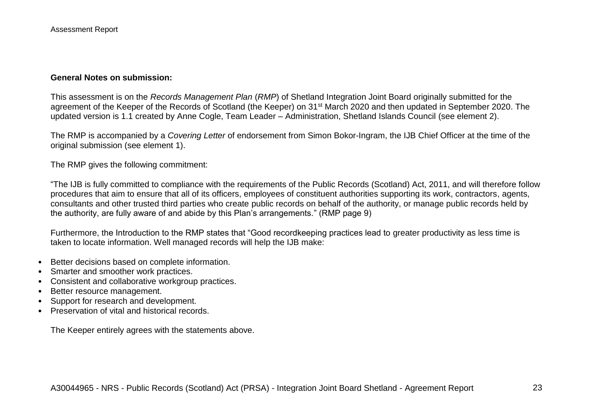#### **General Notes on submission:**

This assessment is on the *Records Management Plan* (*RMP*) of Shetland Integration Joint Board originally submitted for the agreement of the Keeper of the Records of Scotland (the Keeper) on 31<sup>st</sup> March 2020 and then updated in September 2020. The updated version is 1.1 created by Anne Cogle, Team Leader – Administration, Shetland Islands Council (see element 2).

The RMP is accompanied by a *Covering Letter* of endorsement from Simon Bokor-Ingram, the IJB Chief Officer at the time of the original submission (see element 1).

The RMP gives the following commitment:

"The IJB is fully committed to compliance with the requirements of the Public Records (Scotland) Act, 2011, and will therefore follow procedures that aim to ensure that all of its officers, employees of constituent authorities supporting its work, contractors, agents, consultants and other trusted third parties who create public records on behalf of the authority, or manage public records held by the authority, are fully aware of and abide by this Plan's arrangements." (RMP page 9)

Furthermore, the Introduction to the RMP states that "Good recordkeeping practices lead to greater productivity as less time is taken to locate information. Well managed records will help the IJB make:

- Better decisions based on complete information.
- Smarter and smoother work practices.
- Consistent and collaborative workgroup practices.
- Better resource management.
- Support for research and development.
- Preservation of vital and historical records.

The Keeper entirely agrees with the statements above.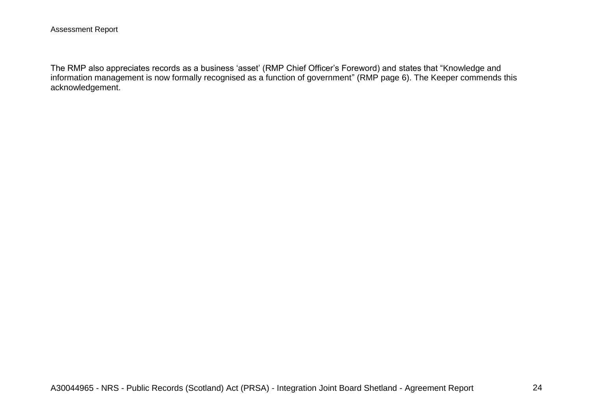The RMP also appreciates records as a business 'asset' (RMP Chief Officer's Foreword) and states that "Knowledge and information management is now formally recognised as a function of government" (RMP page 6). The Keeper commends this acknowledgement.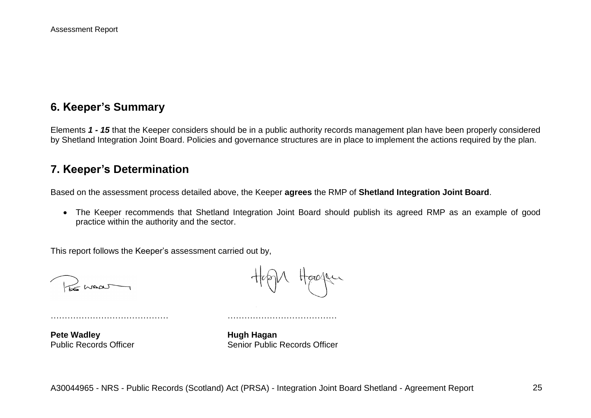# **6. Keeper's Summary**

Elements *1 - 15* that the Keeper considers should be in a public authority records management plan have been properly considered by Shetland Integration Joint Board. Policies and governance structures are in place to implement the actions required by the plan.

### **7. Keeper's Determination**

Based on the assessment process detailed above, the Keeper **agrees** the RMP of **Shetland Integration Joint Board**.

 The Keeper recommends that Shetland Integration Joint Board should publish its agreed RMP as an example of good practice within the authority and the sector.

This report follows the Keeper's assessment carried out by,

 $H$ 

Heager

…………………………………… …………………………………

**Pete Wadley Hugh Hagan** 

Public Records Officer Senior Public Records Officer